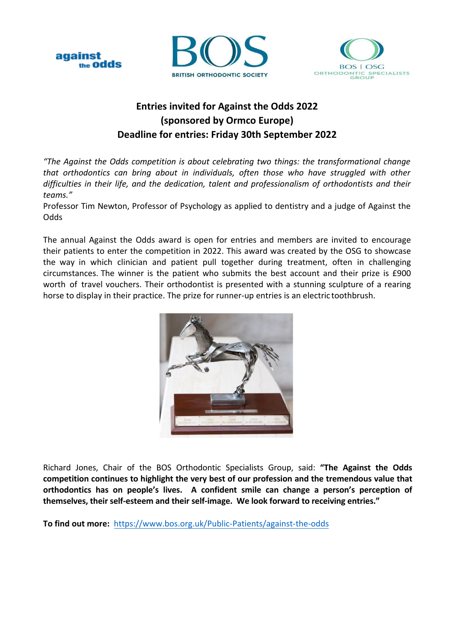





## **Entries invited for Against the Odds 2022 (sponsored by Ormco Europe) Deadline for entries: Friday 30th September 2022**

*"The Against the Odds competition is about celebrating two things: the transformational change that orthodontics can bring about in individuals, often those who have struggled with other difficulties in their life, and the dedication, talent and professionalism of orthodontists and their teams."*

Professor Tim Newton, Professor of Psychology as applied to dentistry and a judge of Against the **Odds** 

The annual Against the Odds award is open for entries and members are invited to encourage their patients to enter the competition in 2022. This award was created by the OSG to showcase the way in which clinician and patient pull together during treatment, often in challenging circumstances. The winner is the patient who submits the best account and their prize is £900 worth of travel vouchers. Their orthodontist is presented with a stunning sculpture of a rearing horse to display in their practice. The prize for runner-up entries is an electric toothbrush.



Richard Jones, Chair of the BOS Orthodontic Specialists Group, said: **"The Against the Odds competition continues to highlight the very best of our profession and the tremendous value that orthodontics has on people's lives. A confident smile can change a person's perception of themselves, their self-esteem and their self-image. We look forward to receiving entries."** 

**To find out more:** https://www.bos.org.uk/Public-Patients/against-the-odds